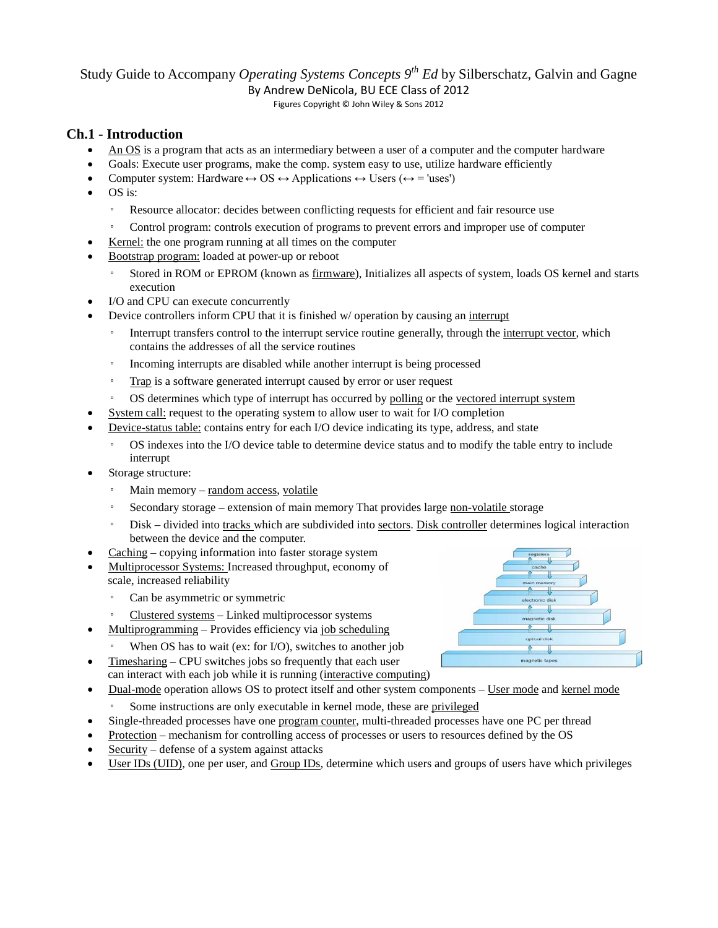# Study Guide to Accompany *Operating Systems Concepts*  $9<sup>th</sup> Ed$  by Silberschatz, Galvin and Gagne

By Andrew DeNicola, BU ECE Class of 2012

Figures Copyright © John Wiley & Sons 2012

# **Ch.1 - Introduction**

- An OS is a program that acts as an intermediary between a user of a computer and the computer hardware
- Goals: Execute user programs, make the comp. system easy to use, utilize hardware efficiently
- Computer system: Hardware  $\leftrightarrow$  OS  $\leftrightarrow$  Applications  $\leftrightarrow$  Users ( $\leftrightarrow$  = 'uses')
- OS is:
	- Resource allocator: decides between conflicting requests for efficient and fair resource use
	- Control program: controls execution of programs to prevent errors and improper use of computer
- Kernel: the one program running at all times on the computer
- Bootstrap program: loaded at power-up or reboot
	- Stored in ROM or EPROM (known as firmware), Initializes all aspects of system, loads OS kernel and starts execution
- I/O and CPU can execute concurrently
- Device controllers inform CPU that it is finished w/ operation by causing an interrupt
	- Interrupt transfers control to the interrupt service routine generally, through the interrupt vector, which contains the addresses of all the service routines
	- Incoming interrupts are disabled while another interrupt is being processed
	- Trap is a software generated interrupt caused by error or user request
	- OS determines which type of interrupt has occurred by polling or the vectored interrupt system
- System call: request to the operating system to allow user to wait for I/O completion
- Device-status table: contains entry for each I/O device indicating its type, address, and state
	- OS indexes into the I/O device table to determine device status and to modify the table entry to include interrupt
- Storage structure:
	- Main memory random access, volatile
	- Secondary storage extension of main memory That provides large non-volatile storage
	- Disk divided into tracks which are subdivided into sectors. Disk controller determines logical interaction between the device and the computer.
- Caching copying information into faster storage system
- Multiprocessor Systems: Increased throughput, economy of scale, increased reliability
	- Can be asymmetric or symmetric
	- Clustered systems Linked multiprocessor systems
- Multiprogramming Provides efficiency via job scheduling
	- When OS has to wait (ex: for  $I/O$ ), switches to another job
- Timesharing CPU switches jobs so frequently that each user can interact with each job while it is running (interactive computing)
- Dual-mode operation allows OS to protect itself and other system components User mode and kernel mode
	- Some instructions are only executable in kernel mode, these are privileged
- Single-threaded processes have one program counter, multi-threaded processes have one PC per thread
- Protection mechanism for controlling access of processes or users to resources defined by the OS
- Security defense of a system against attacks
- User IDs (UID), one per user, and Group IDs, determine which users and groups of users have which privileges

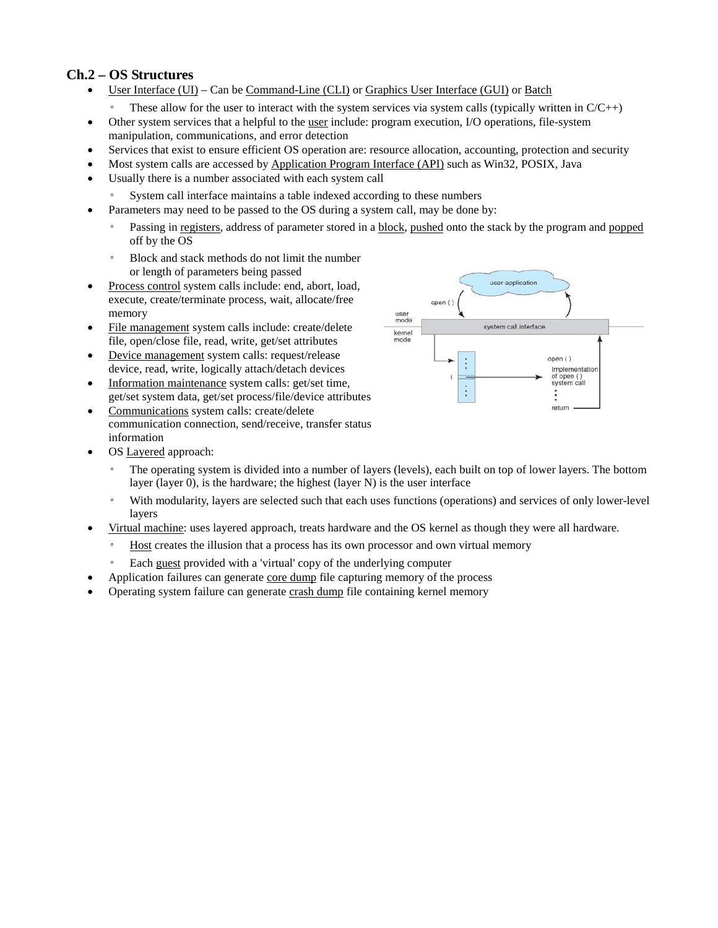# **Ch.2 – OS Structures**

- User Interface (UI) Can be Command-Line (CLI) or Graphics User Interface (GUI) or Batch
	- $\degree$  These allow for the user to interact with the system services via system calls (typically written in  $C/C++$ )
- Other system services that a helpful to the <u>user</u> include: program execution, I/O operations, file-system manipulation, communications, and error detection
- Services that exist to ensure efficient OS operation are: resource allocation, accounting, protection and security
- Most system calls are accessed by Application Program Interface (API) such as Win32, POSIX, Java
- Usually there is a number associated with each system call
	- System call interface maintains a table indexed according to these numbers
- Parameters may need to be passed to the OS during a system call, may be done by:
	- Passing in registers, address of parameter stored in a block, pushed onto the stack by the program and popped off by the OS
	- Block and stack methods do not limit the number or length of parameters being passed
- Process control system calls include: end, abort, load, execute, create/terminate process, wait, allocate/free memory
- File management system calls include: create/delete file, open/close file, read, write, get/set attributes
- Device management system calls: request/release device, read, write, logically attach/detach devices
- Information maintenance system calls: get/set time, get/set system data, get/set process/file/device attributes
- Communications system calls: create/delete communication connection, send/receive, transfer status information



- OS Layered approach:
	- The operating system is divided into a number of layers (levels), each built on top of lower layers. The bottom layer (layer 0), is the hardware; the highest (layer N) is the user interface
	- With modularity, layers are selected such that each uses functions (operations) and services of only lower-level layers
- Virtual machine: uses layered approach, treats hardware and the OS kernel as though they were all hardware.
	- Host creates the illusion that a process has its own processor and own virtual memory
	- Each guest provided with a 'virtual' copy of the underlying computer
- Application failures can generate core dump file capturing memory of the process
- Operating system failure can generate crash dump file containing kernel memory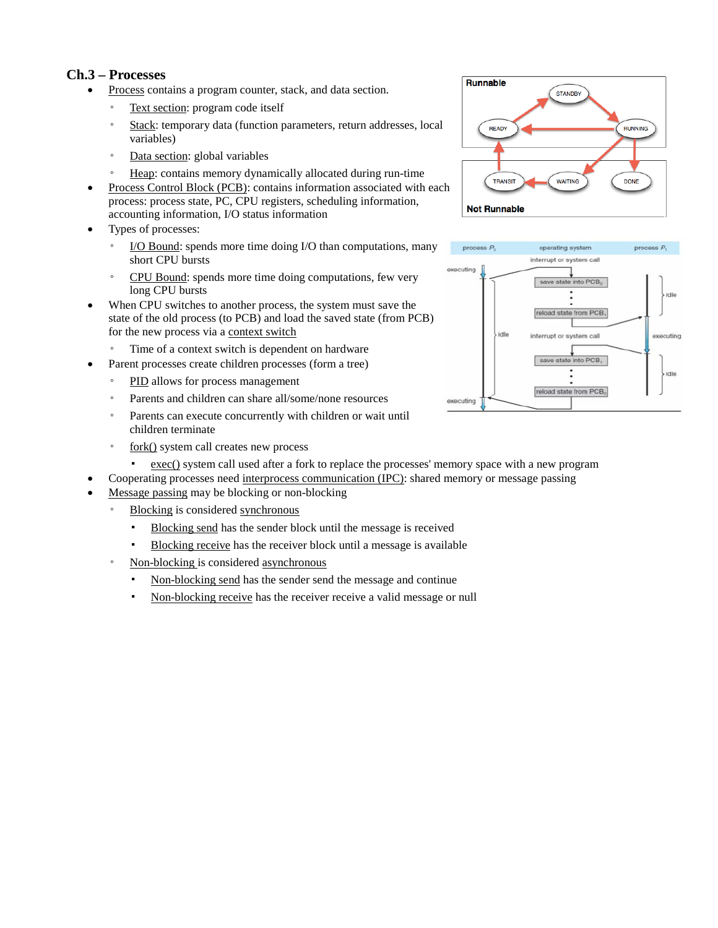## **Ch.3 – Processes**

- Process contains a program counter, stack, and data section.
	- Text section: program code itself
	- Stack: temporary data (function parameters, return addresses, local variables)
	- Data section: global variables
	- Heap: contains memory dynamically allocated during run-time
- Process Control Block (PCB): contains information associated with each process: process state, PC, CPU registers, scheduling information, accounting information, I/O status information
- Types of processes:
	- I/O Bound: spends more time doing I/O than computations, many short CPU bursts
	- CPU Bound: spends more time doing computations, few very long CPU bursts
- When CPU switches to another process, the system must save the state of the old process (to PCB) and load the saved state (from PCB) for the new process via a context switch
	- Time of a context switch is dependent on hardware
	- Parent processes create children processes (form a tree)
	- PID allows for process management
	- Parents and children can share all/some/none resources
	- Parents can execute concurrently with children or wait until children terminate
	- fork() system call creates new process
		- exec() system call used after a fork to replace the processes' memory space with a new program
	- Cooperating processes need interprocess communication (IPC): shared memory or message passing
- Message passing may be blocking or non-blocking
	- Blocking is considered synchronous
		- Blocking send has the sender block until the message is received
		- Blocking receive has the receiver block until a message is available
	- Non-blocking is considered asynchronous
		- Non-blocking send has the sender send the message and continue
		- Non-blocking receive has the receiver receive a valid message or null



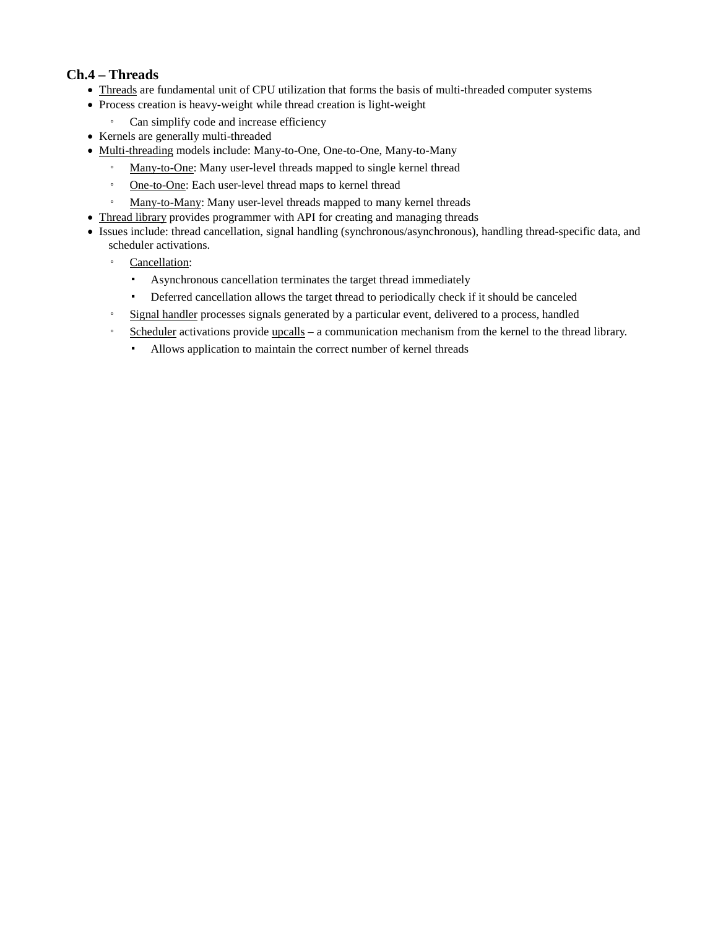## **Ch.4 – Threads**

- Threads are fundamental unit of CPU utilization that forms the basis of multi-threaded computer systems
- Process creation is heavy-weight while thread creation is light-weight
	- Can simplify code and increase efficiency
- Kernels are generally multi-threaded
- Multi-threading models include: Many-to-One, One-to-One, Many-to-Many
	- Many-to-One: Many user-level threads mapped to single kernel thread
	- One-to-One: Each user-level thread maps to kernel thread
	- Many-to-Many: Many user-level threads mapped to many kernel threads
- Thread library provides programmer with API for creating and managing threads
- Issues include: thread cancellation, signal handling (synchronous/asynchronous), handling thread-specific data, and scheduler activations.
	- Cancellation:
		- Asynchronous cancellation terminates the target thread immediately
		- Deferred cancellation allows the target thread to periodically check if it should be canceled
	- Signal handler processes signals generated by a particular event, delivered to a process, handled
	- Scheduler activations provide upcalls a communication mechanism from the kernel to the thread library.
		- Allows application to maintain the correct number of kernel threads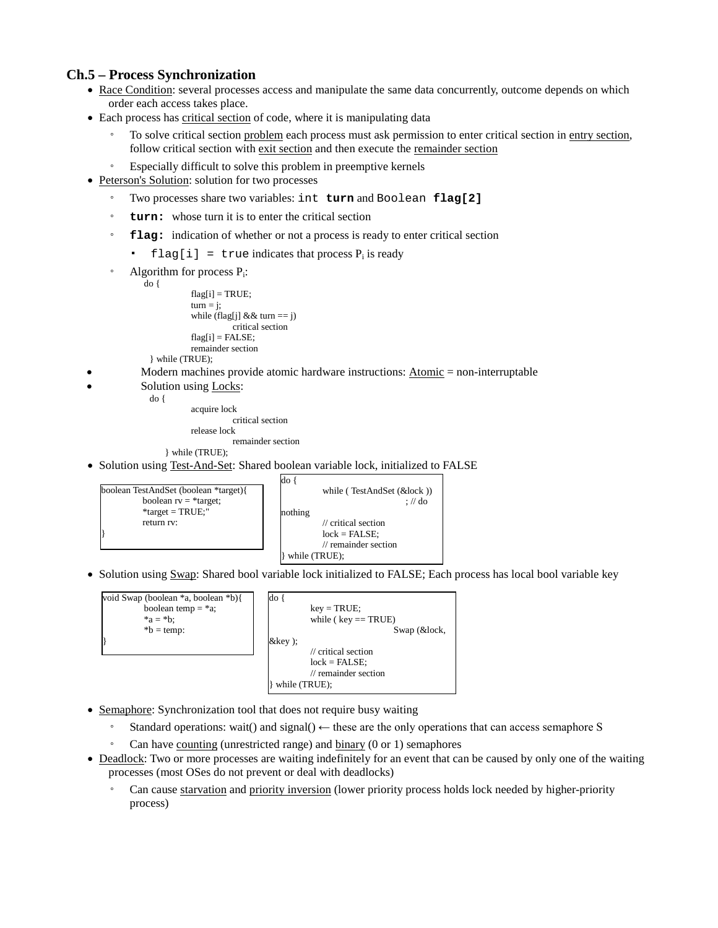## **Ch.5 – Process Synchronization**

- Race Condition: several processes access and manipulate the same data concurrently, outcome depends on which order each access takes place.
- Each process has critical section of code, where it is manipulating data
	- To solve critical section problem each process must ask permission to enter critical section in entry section, follow critical section with exit section and then execute the remainder section
	- Especially difficult to solve this problem in preemptive kernels
- Peterson's Solution: solution for two processes
	- Two processes share two variables: int **turn** and Boolean **flag[2]**
	- **turn:** whose turn it is to enter the critical section
	- flag: indication of whether or not a process is ready to enter critical section
		- $flag[i] = true$  indicates that process  $P_i$  is ready
	- Algorithm for process  $P_i$ :<br>do {

```
flag[i] = TRUE; 
turn = j;while (flag[j] & & turn == j)
           critical section 
flag[i] = FALSE;remainder section
```
} while (TRUE);

- Modern machines provide atomic hardware instructions:  $\underline{Atomic} = non-interturbable$ 
	- Solution using Locks:

}

do { acquire lock

critical section

release lock remainder section

} while (TRUE);

• Solution using Test-And-Set: Shared boolean variable lock, initialized to FALSE



• Solution using Swap: Shared bool variable lock initialized to FALSE; Each process has local bool variable key



- Semaphore: Synchronization tool that does not require busy waiting
	- Standard operations: wait() and signal()  $\leftarrow$  these are the only operations that can access semaphore S
	- Can have counting (unrestricted range) and binary (0 or 1) semaphores
- Deadlock: Two or more processes are waiting indefinitely for an event that can be caused by only one of the waiting processes (most OSes do not prevent or deal with deadlocks)
	- Can cause starvation and priority inversion (lower priority process holds lock needed by higher-priority process)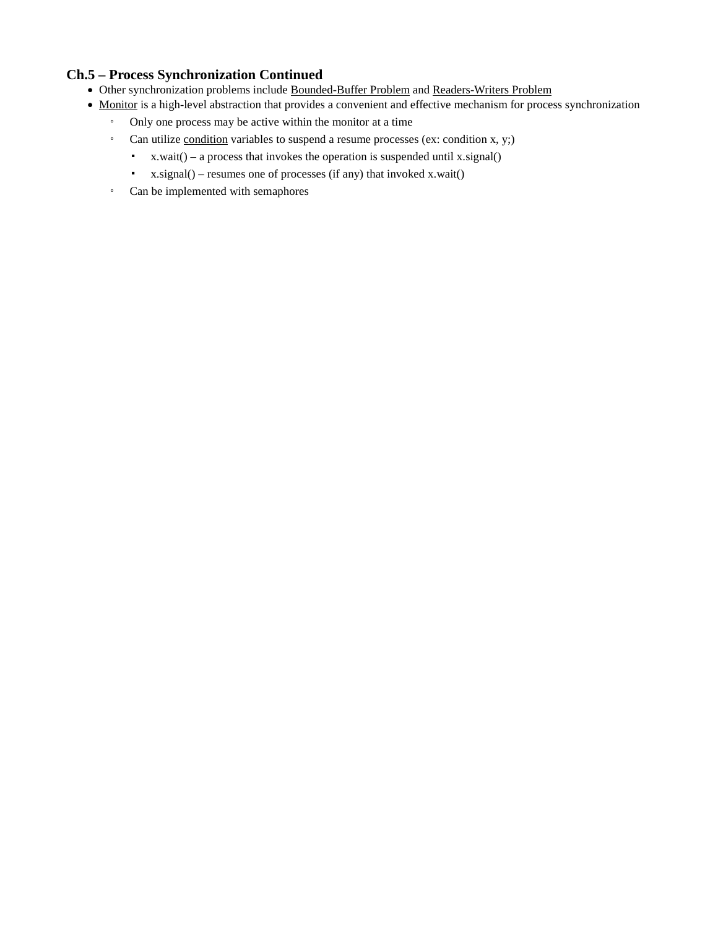## **Ch.5 – Process Synchronization Continued**

- Other synchronization problems include Bounded-Buffer Problem and Readers-Writers Problem
- Monitor is a high-level abstraction that provides a convenient and effective mechanism for process synchronization
	- Only one process may be active within the monitor at a time
	- Can utilize condition variables to suspend a resume processes (ex: condition x, y;)
		- $\bullet$  x.wait() a process that invokes the operation is suspended until x.signal()
		- $\bullet$  x.signal() resumes one of processes (if any) that invoked x.wait()
	- Can be implemented with semaphores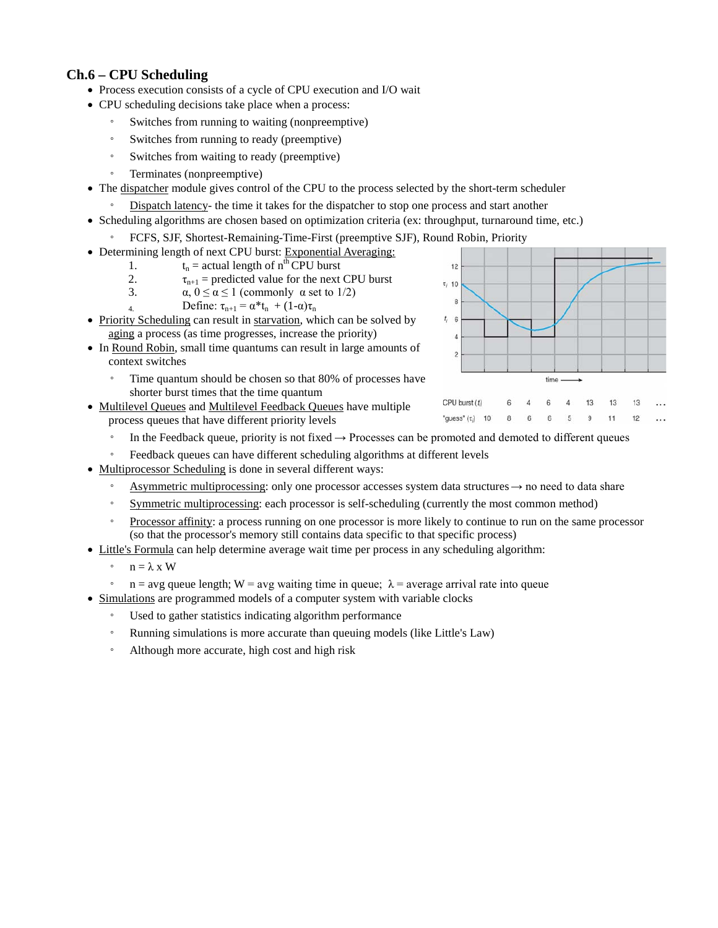## **Ch.6 – CPU Scheduling**

- Process execution consists of a cycle of CPU execution and I/O wait
- CPU scheduling decisions take place when a process:
	- Switches from running to waiting (nonpreemptive)
	- Switches from running to ready (preemptive)
	- Switches from waiting to ready (preemptive)
	- Terminates (nonpreemptive)
- The dispatcher module gives control of the CPU to the process selected by the short-term scheduler
	- Dispatch latency- the time it takes for the dispatcher to stop one process and start another
- Scheduling algorithms are chosen based on optimization criteria (ex: throughput, turnaround time, etc.)
	- FCFS, SJF, Shortest-Remaining-Time-First (preemptive SJF), Round Robin, Priority
- Determining length of next CPU burst: Exponential Averaging:
	- 1.  $t_n$  = actual length of  $n^{th}$  CPU burst<br>2.  $\tau_{n+1}$  = predicted value for the next
	- 2.  $\tau_{n+1}$  = predicted value for the next CPU burst<br>3.  $\alpha$ ,  $0 \le \alpha \le 1$  (commonly  $\alpha$  set to 1/2)
	- $\alpha$ ,  $0 \le \alpha \le 1$  (commonly  $\alpha$  set to 1/2)
	- 4. Define:  $\tau_{n+1} = \alpha^* t_n + (1-\alpha)\tau_n$
- Priority Scheduling can result in starvation, which can be solved by aging a process (as time progresses, increase the priority)
- In Round Robin, small time quantums can result in large amounts of context switches
	- Time quantum should be chosen so that 80% of processes have shorter burst times that the time quantum
- Multilevel Queues and Multilevel Feedback Queues have multiple process queues that have different priority levels
- $12$  $\tau$ <sub>i</sub> 10  $\mathbf{a}$  $t_i$  6  $\overline{c}$ time CPU burst (t) 6  $\overline{A}$ 6 13 13  $\overline{4}$ 13 "guess"  $(\tau_j)$  10 8  $6\overline{6}$ 6 9 11  $12$ 5
- In the Feedback queue, priority is not fixed  $\rightarrow$  Processes can be promoted and demoted to different queues
- Feedback queues can have different scheduling algorithms at different levels
- Multiprocessor Scheduling is done in several different ways:
	- Asymmetric multiprocessing: only one processor accesses system data structures → no need to data share
	- Symmetric multiprocessing: each processor is self-scheduling (currently the most common method)
	- Processor affinity: a process running on one processor is more likely to continue to run on the same processor (so that the processor's memory still contains data specific to that specific process)
- Little's Formula can help determine average wait time per process in any scheduling algorithm:
	- n = λ x W
	- $\degree$  n = avg queue length; W = avg waiting time in queue;  $\lambda$  = average arrival rate into queue
- Simulations are programmed models of a computer system with variable clocks
	- Used to gather statistics indicating algorithm performance
	- Running simulations is more accurate than queuing models (like Little's Law)
	- Although more accurate, high cost and high risk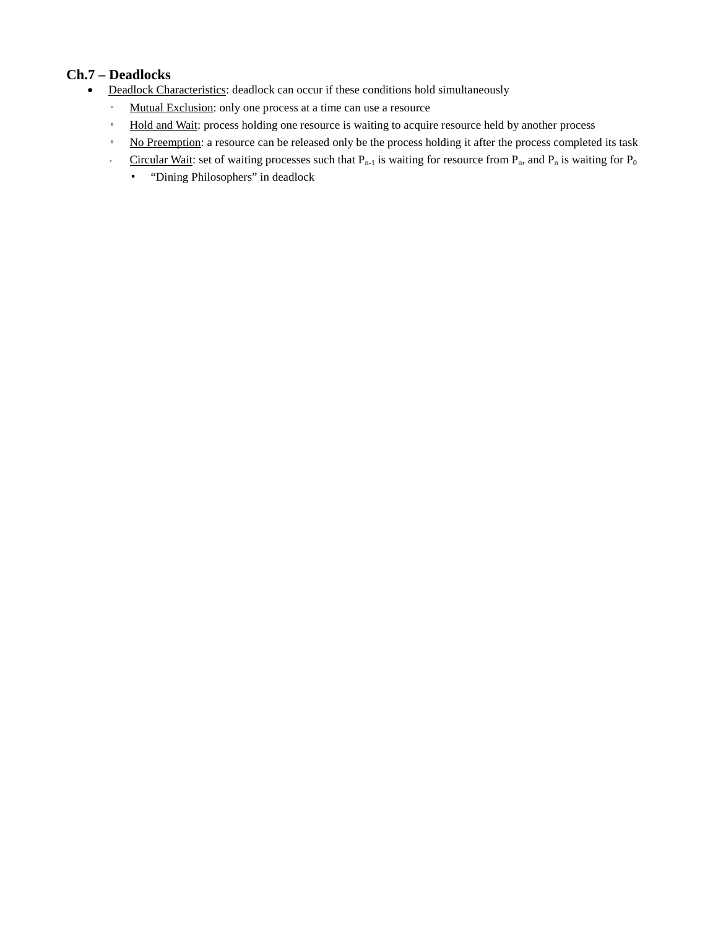# **Ch.7 – Deadlocks**

- Deadlock Characteristics: deadlock can occur if these conditions hold simultaneously
	- Mutual Exclusion: only one process at a time can use a resource
	- Hold and Wait: process holding one resource is waiting to acquire resource held by another process
	- No Preemption: a resource can be released only be the process holding it after the process completed its task
	- Circular Wait: set of waiting processes such that  $P_{n-1}$  is waiting for resource from  $P_n$ , and  $P_n$  is waiting for  $P_0$ 
		- "Dining Philosophers" in deadlock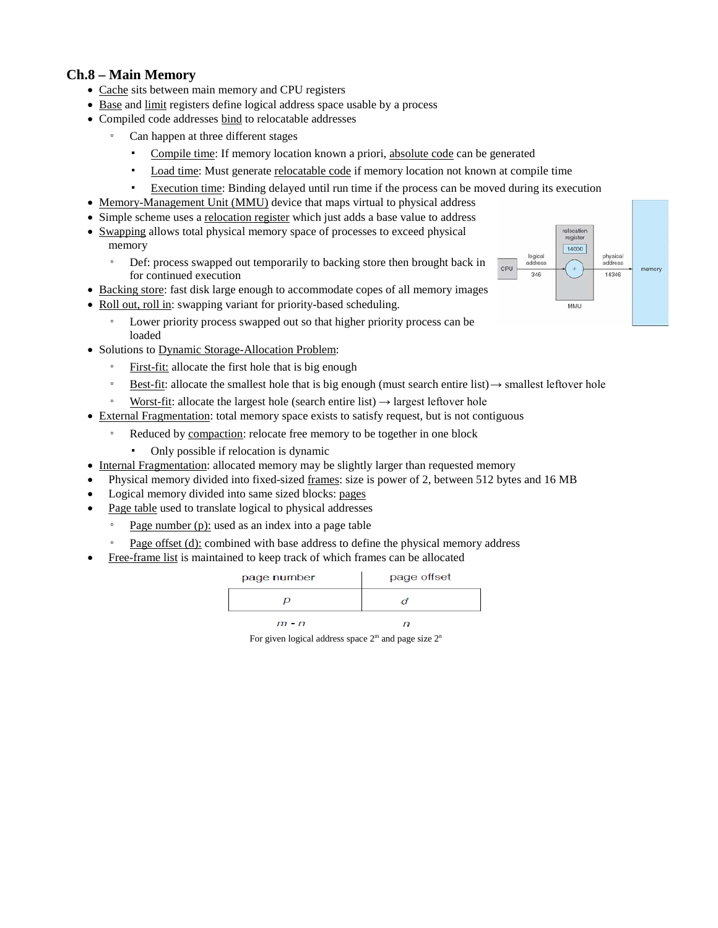## **Ch.8 – Main Memory**

- Cache sits between main memory and CPU registers
- Base and limit registers define logical address space usable by a process
- Compiled code addresses bind to relocatable addresses
	- Can happen at three different stages
		- Compile time: If memory location known a priori, absolute code can be generated
		- Load time: Must generate relocatable code if memory location not known at compile time
		- Execution time: Binding delayed until run time if the process can be moved during its execution
- Memory-Management Unit (MMU) device that maps virtual to physical address
- Simple scheme uses a <u>relocation register</u> which just adds a base value to address
- Swapping allows total physical memory space of processes to exceed physical memory
	- Def: process swapped out temporarily to backing store then brought back in for continued execution
- Backing store: fast disk large enough to accommodate copes of all memory images
- Roll out, roll in: swapping variant for priority-based scheduling.
	- Lower priority process swapped out so that higher priority process can be loaded
- Solutions to Dynamic Storage-Allocation Problem:
	- First-fit: allocate the first hole that is big enough
	- $\frac{\text{Best-fit}}{\text{dist}(1)}$ : allocate the smallest hole that is big enough (must search entire list)  $\rightarrow$  smallest leftover hole
	- Worst-fit: allocate the largest hole (search entire list)  $\rightarrow$  largest leftover hole
- External Fragmentation: total memory space exists to satisfy request, but is not contiguous
	- Reduced by compaction: relocate free memory to be together in one block
		- Only possible if relocation is dynamic
- Internal Fragmentation: allocated memory may be slightly larger than requested memory
- Physical memory divided into fixed-sized frames: size is power of 2, between 512 bytes and 16 MB
- Logical memory divided into same sized blocks: pages
- Page table used to translate logical to physical addresses
	- Page number  $(p)$ : used as an index into a page table
	- Page offset (d): combined with base address to define the physical memory address
- Free-frame list is maintained to keep track of which frames can be allocated

| page number | page offset |  |
|-------------|-------------|--|
|             |             |  |
| $m - n$     |             |  |

For given logical address space  $2<sup>m</sup>$  and page size  $2<sup>n</sup>$ 

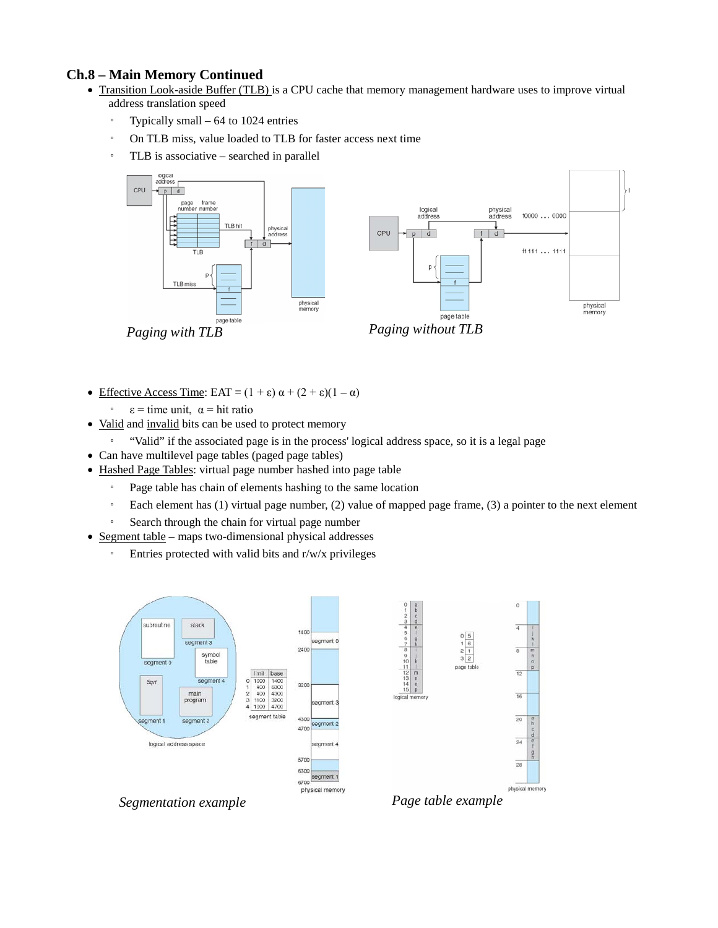## **Ch.8 – Main Memory Continued**

- Transition Look-aside Buffer (TLB) is a CPU cache that memory management hardware uses to improve virtual address translation speed
	- Typically small 64 to 1024 entries
	- On TLB miss, value loaded to TLB for faster access next time
	- TLB is associative searched in parallel



- Effective Access Time: EAT =  $(1 + \varepsilon) \alpha + (2 + \varepsilon)(1 \alpha)$ 
	- $ε = time unit, α = hit ratio$
- Valid and invalid bits can be used to protect memory
	- "Valid" if the associated page is in the process' logical address space, so it is a legal page
- Can have multilevel page tables (paged page tables)
- Hashed Page Tables: virtual page number hashed into page table
	- Page table has chain of elements hashing to the same location
	- Each element has (1) virtual page number, (2) value of mapped page frame, (3) a pointer to the next element
	- Search through the chain for virtual page number
- Segment table maps two-dimensional physical addresses
	- Entries protected with valid bits and r/w/x privileges



*Segmentation example*

*Page table example*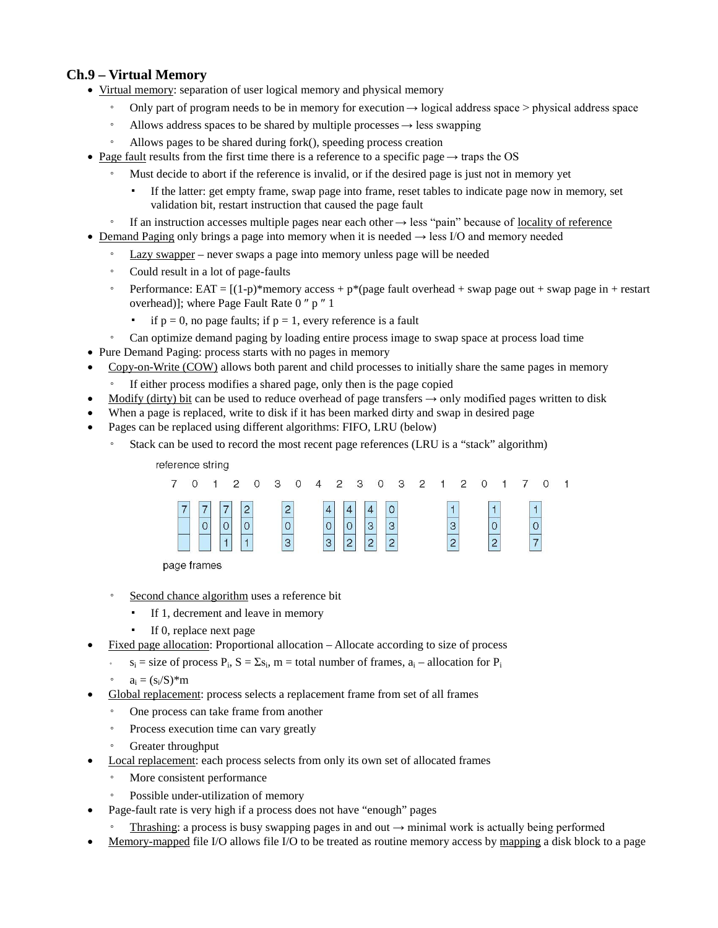## **Ch.9 – Virtual Memory**

- Virtual memory: separation of user logical memory and physical memory
	- Only part of program needs to be in memory for execution  $\rightarrow$  logical address space > physical address space
	- Allows address spaces to be shared by multiple processes  $\rightarrow$  less swapping
	- Allows pages to be shared during fork(), speeding process creation
- Page fault results from the first time there is a reference to a specific page  $\rightarrow$  traps the OS
	- Must decide to abort if the reference is invalid, or if the desired page is just not in memory yet
		- If the latter: get empty frame, swap page into frame, reset tables to indicate page now in memory, set validation bit, restart instruction that caused the page fault
	- $\degree$  If an instruction accesses multiple pages near each other  $\rightarrow$  less "pain" because of locality of reference
- Demand Paging only brings a page into memory when it is needed → less I/O and memory needed
	- Lazy swapper never swaps a page into memory unless page will be needed
	- Could result in a lot of page-faults
	- Performance:  $EAT = [(1-p)*memory access + p*(page fault overhead + swap page out + swap page in + restart)$ overhead)]; where Page Fault Rate 0 ″ p ″ 1
		- if  $p = 0$ , no page faults; if  $p = 1$ , every reference is a fault
	- Can optimize demand paging by loading entire process image to swap space at process load time
- Pure Demand Paging: process starts with no pages in memory
- Copy-on-Write (COW) allows both parent and child processes to initially share the same pages in memory
	- If either process modifies a shared page, only then is the page copied
- Modify (dirty) bit can be used to reduce overhead of page transfers  $\rightarrow$  only modified pages written to disk
- When a page is replaced, write to disk if it has been marked dirty and swap in desired page
- Pages can be replaced using different algorithms: FIFO, LRU (below)
	- Stack can be used to record the most recent page references (LRU is a "stack" algorithm)



page frames

- Second chance algorithm uses a reference bit
	- If 1, decrement and leave in memory
	- If 0, replace next page
- Fixed page allocation: Proportional allocation Allocate according to size of process
	- $s_i$  = size of process  $P_i$ ,  $S = \Sigma s_i$ , m = total number of frames,  $a_i$  allocation for  $P_i$
	- $a_i = (s_i/S)^*m$
	- Global replacement: process selects a replacement frame from set of all frames
	- One process can take frame from another
	- Process execution time can vary greatly
	- Greater throughput
- Local replacement: each process selects from only its own set of allocated frames
	- More consistent performance
	- Possible under-utilization of memory
- Page-fault rate is very high if a process does not have "enough" pages
- Thrashing: a process is busy swapping pages in and out  $\rightarrow$  minimal work is actually being performed
- Memory-mapped file I/O allows file I/O to be treated as routine memory access by mapping a disk block to a page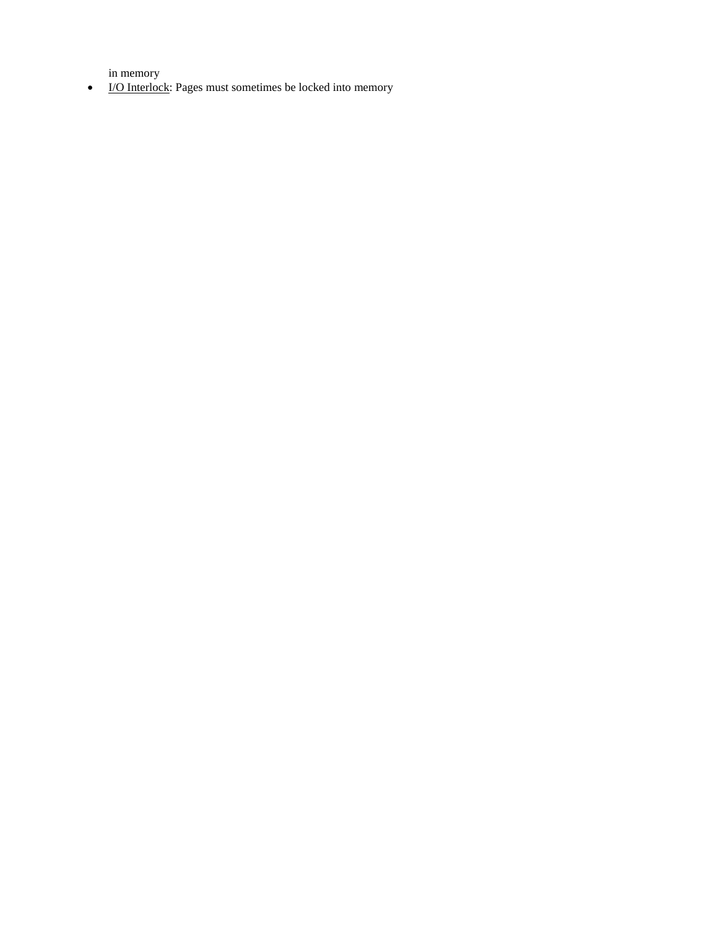in memory

• I/O Interlock: Pages must sometimes be locked into memory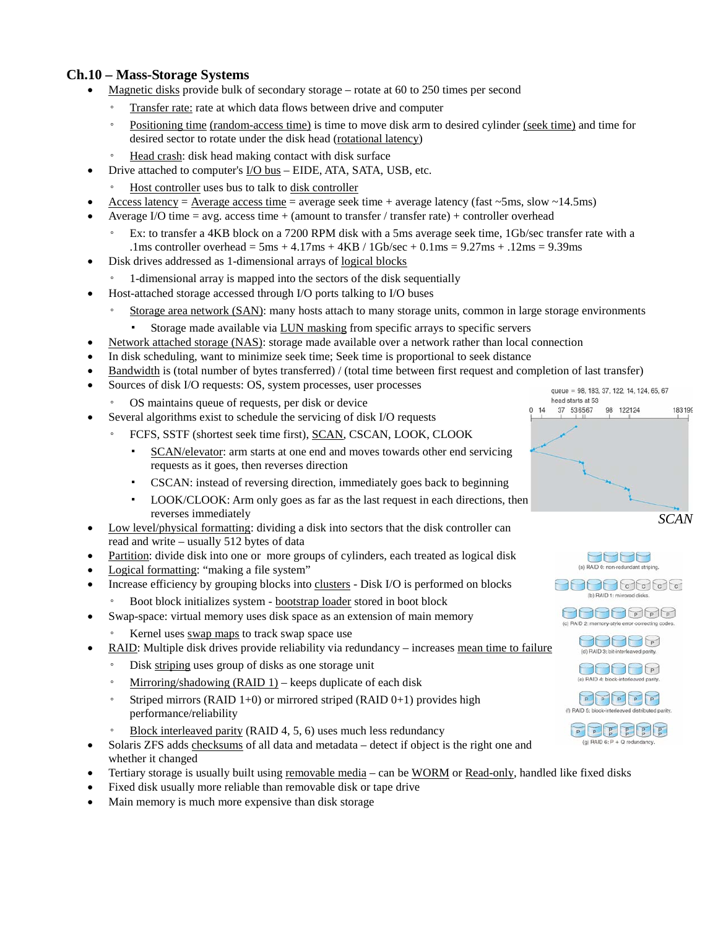## **Ch.10 – Mass-Storage Systems**

- Magnetic disks provide bulk of secondary storage rotate at 60 to 250 times per second
	- Transfer rate: rate at which data flows between drive and computer
	- Positioning time (random-access time) is time to move disk arm to desired cylinder (seek time) and time for desired sector to rotate under the disk head (rotational latency)
	- Head crash: disk head making contact with disk surface
- Drive attached to computer's I/O bus EIDE, ATA, SATA, USB, etc.
	- Host controller uses bus to talk to disk controller
- Access latency = Average access time = average seek time + average latency (fast  $\sim$ 5ms, slow  $\sim$ 14.5ms)
- Average I/O time  $=$  avg. access time  $+$  (amount to transfer / transfer rate)  $+$  controller overhead
	- Ex: to transfer a 4KB block on a 7200 RPM disk with a 5ms average seek time, 1Gb/sec transfer rate with a .1ms controller overhead = 5ms + 4.17ms + 4KB / 1Gb/sec + 0.1ms =  $9.27$ ms + .12ms =  $9.39$ ms
- Disk drives addressed as 1-dimensional arrays of logical blocks
	- 1-dimensional array is mapped into the sectors of the disk sequentially
- Host-attached storage accessed through I/O ports talking to I/O buses
	- Storage area network (SAN): many hosts attach to many storage units, common in large storage environments
		- Storage made available via LUN masking from specific arrays to specific servers
- Network attached storage (NAS): storage made available over a network rather than local connection
- In disk scheduling, want to minimize seek time; Seek time is proportional to seek distance
- Bandwidth is (total number of bytes transferred) / (total time between first request and completion of last transfer)
- Sources of disk I/O requests: OS, system processes, user processes
	- OS maintains queue of requests, per disk or device
- Several algorithms exist to schedule the servicing of disk I/O requests
	- FCFS, SSTF (shortest seek time first), SCAN, CSCAN, LOOK, CLOOK
		- SCAN/elevator: arm starts at one end and moves towards other end servicing requests as it goes, then reverses direction
		- CSCAN: instead of reversing direction, immediately goes back to beginning
		- LOOK/CLOOK: Arm only goes as far as the last request in each directions, then reverses immediately
- Low level/physical formatting: dividing a disk into sectors that the disk controller can read and write – usually 512 bytes of data
- Partition: divide disk into one or more groups of cylinders, each treated as logical disk
- Logical formatting: "making a file system"
- Increase efficiency by grouping blocks into clusters Disk I/O is performed on blocks
	- Boot block initializes system bootstrap loader stored in boot block
	- Swap-space: virtual memory uses disk space as an extension of main memory
	- Kernel uses swap maps to track swap space use
- RAID: Multiple disk drives provide reliability via redundancy increases mean time to failure
	- Disk striping uses group of disks as one storage unit
	- Mirroring/shadowing (RAID 1) *–* keeps duplicate of each disk
	- Striped mirrors (RAID 1+0) or mirrored striped (RAID 0+1) provides high performance/reliability
	- Block interleaved parity (RAID 4, 5, 6) uses much less redundancy
- Solaris ZFS adds checksums of all data and metadata detect if object is the right one and whether it changed
- Tertiary storage is usually built using removable media can be WORM or Read-only, handled like fixed disks
- Fixed disk usually more reliable than removable disk or tape drive
- Main memory is much more expensive than disk storage





(b) RAID 1: mirrored disks.





 $\begin{picture}(40,40) \put(0,0){\line(1,0){10}} \put(15,0){\line(1,0){10}} \put(15,0){\line(1,0){10}} \put(15,0){\line(1,0){10}} \put(15,0){\line(1,0){10}} \put(15,0){\line(1,0){10}} \put(15,0){\line(1,0){10}} \put(15,0){\line(1,0){10}} \put(15,0){\line(1,0){10}} \put(15,0){\line(1,0){10}} \put(15,0){\line(1,0){10}} \put(15,0){\line(1$ 



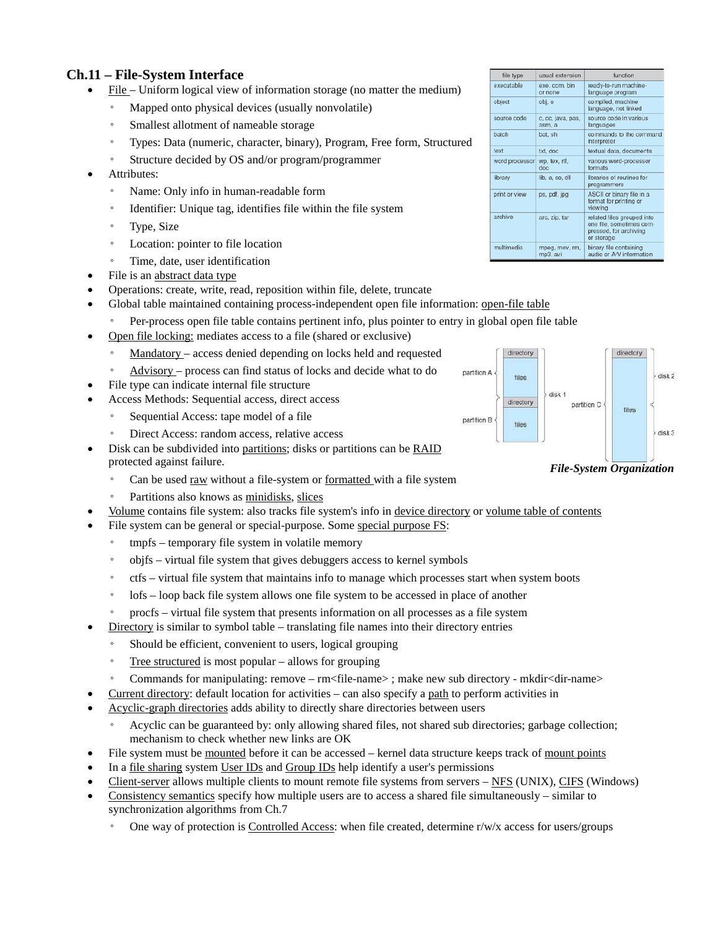## **Ch.11 – File-System Interface**

- File Uniform logical view of information storage (no matter the medium)
	- Mapped onto physical devices (usually nonvolatile)
	- Smallest allotment of nameable storage
	- Types: Data (numeric, character, binary), Program, Free form, Structured
	- Structure decided by OS and/or program/programmer
- Attributes:
	- Name: Only info in human-readable form
	- Identifier: Unique tag, identifies file within the file system
	- Type, Size
	- Location: pointer to file location
	- Time, date, user identification
- File is an abstract data type
- Operations: create, write, read, reposition within file, delete, truncate
- Global table maintained containing process-independent open file information: open-file table
	- Per-process open file table contains pertinent info, plus pointer to entry in global open file table
- Open file locking: mediates access to a file (shared or exclusive)
	- Mandatory access denied depending on locks held and requested
	- Advisory process can find status of locks and decide what to do
- File type can indicate internal file structure
- Access Methods: Sequential access, direct access
	- Sequential Access: tape model of a file
	- Direct Access: random access, relative access
- Disk can be subdivided into partitions; disks or partitions can be RAID protected against failure.
	- Can be used raw without a file-system or formatted with a file system
	- Partitions also knows as minidisks, slices
- Volume contains file system: also tracks file system's info in device directory or volume table of contents
- File system can be general or special-purpose. Some special purpose FS:
	- tmpfs temporary file system in volatile memory
	- objfs virtual file system that gives debuggers access to kernel symbols
	- ctfs virtual file system that maintains info to manage which processes start when system boots
	- lofs loop back file system allows one file system to be accessed in place of another
	- procfs virtual file system that presents information on all processes as a file system
- Directory is similar to symbol table translating file names into their directory entries
	- Should be efficient, convenient to users, logical grouping
	- Tree structured is most popular allows for grouping
	- Commands for manipulating: remove rm<file-name> ; make new sub directory mkdir<dir-name>
- Current directory: default location for activities can also specify a path to perform activities in
- Acyclic-graph directories adds ability to directly share directories between users
	- Acyclic can be guaranteed by: only allowing shared files, not shared sub directories; garbage collection; mechanism to check whether new links are OK
- File system must be mounted before it can be accessed kernel data structure keeps track of mount points
- In a <u>file sharing</u> system User IDs and Group IDs help identify a user's permissions
- Client-server allows multiple clients to mount remote file systems from servers NFS (UNIX), CIFS (Windows)
- Consistency semantics specify how multiple users are to access a shared file simultaneously similar to synchronization algorithms from Ch.7
	- One way of protection is Controlled Access: when file created, determine  $r/w/x$  access for users/groups

| file type      | usual extension             | function                                                                                       |  |
|----------------|-----------------------------|------------------------------------------------------------------------------------------------|--|
| executable     | exe, com, bin<br>or none    | ready-to-run machine-<br>language program                                                      |  |
| object         | obj. o                      | compiled, machine<br>language, not linked                                                      |  |
| source code    | c, cc, java, pas,<br>asm, a | source code in various<br>languages                                                            |  |
| batch          | bat, sh                     | commands to the command<br>interpreter                                                         |  |
| text           | txt. doc                    | textual data, documents                                                                        |  |
| word processor | wp. tex, rtf.<br>doc        | various word-processor<br>formats                                                              |  |
| library        | lib. a. so. dll             | libraries of routines for<br>programmers                                                       |  |
| print or view  | ps, pdf, jpg                | ASCII or binary file in a<br>format for printing or<br>viewing                                 |  |
| archive        | arc, zip, tar               | related files grouped into<br>one file, sometimes com-<br>pressed, for archiving<br>or storage |  |
| multimedia     | mpeg, mov, rm,<br>mp3, avi  | binary file containing<br>audio or A/V information                                             |  |



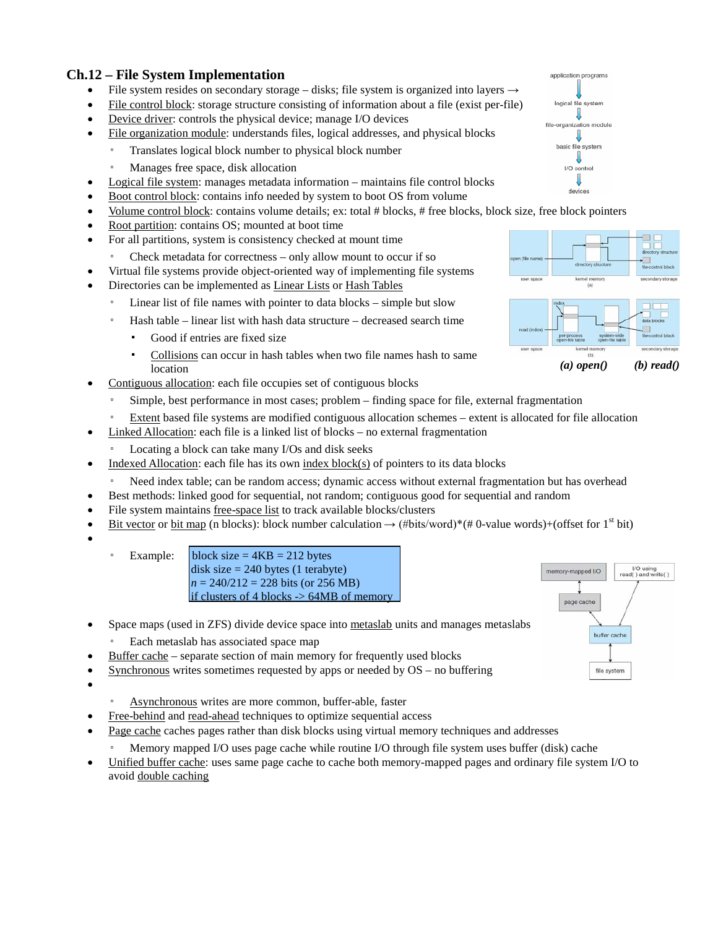## **Ch.12 – File System Implementation**

- File system resides on secondary storage disks; file system is organized into layers  $\rightarrow$
- File control block: storage structure consisting of information about a file (exist per-file)
- Device driver: controls the physical device; manage I/O devices
- File organization module: understands files, logical addresses, and physical blocks
	- Translates logical block number to physical block number
		- Manages free space, disk allocation
- Logical file system: manages metadata information maintains file control blocks
- Boot control block: contains info needed by system to boot OS from volume
- Volume control block: contains volume details; ex: total # blocks, # free blocks, block size, free block pointers
- Root partition: contains OS; mounted at boot time
- For all partitions, system is consistency checked at mount time
	- Check metadata for correctness only allow mount to occur if so
- Virtual file systems provide object-oriented way of implementing file systems
- Directories can be implemented as Linear Lists or Hash Tables
- Linear list of file names with pointer to data blocks simple but slow
	- Hash table linear list with hash data structure decreased search time
		- Good if entries are fixed size
		- Collisions can occur in hash tables when two file names hash to same location
- Contiguous allocation: each file occupies set of contiguous blocks
	- Simple, best performance in most cases; problem finding space for file, external fragmentation
	- Extent based file systems are modified contiguous allocation schemes extent is allocated for file allocation
- Linked Allocation: each file is a linked list of blocks no external fragmentation
	- Locating a block can take many I/Os and disk seeks
- Indexed Allocation: each file has its own index  $block(s)$  of pointers to its data blocks
	- Need index table; can be random access; dynamic access without external fragmentation but has overhead
- Best methods: linked good for sequential, not random; contiguous good for sequential and random
- File system maintains free-space list to track available blocks/clusters
- Bit vector or bit map (n blocks): block number calculation  $\rightarrow$  (#bits/word)\*(#0-value words)+(offset for 1<sup>st</sup> bit)
- •

 $\textdegree$  Example: block size = 4KB = 212 bytes disk size  $= 240$  bytes (1 terabyte) *n* = 240/212 = 228 bits (or 256 MB) if clusters of 4 blocks  $\rightarrow$  64MB of memory

- Space maps (used in ZFS) divide device space into metaslab units and manages metaslabs
	- Each metaslab has associated space map
- Buffer cache separate section of main memory for frequently used blocks
- Synchronous writes sometimes requested by apps or needed by OS no buffering
- •
- Asynchronous writes are more common, buffer-able, faster
- Free-behind and read-ahead techniques to optimize sequential access
- Page cache caches pages rather than disk blocks using virtual memory techniques and addresses
	- Memory mapped I/O uses page cache while routine I/O through file system uses buffer (disk) cache
- Unified buffer cache: uses same page cache to cache both memory-mapped pages and ordinary file system I/O to avoid double caching









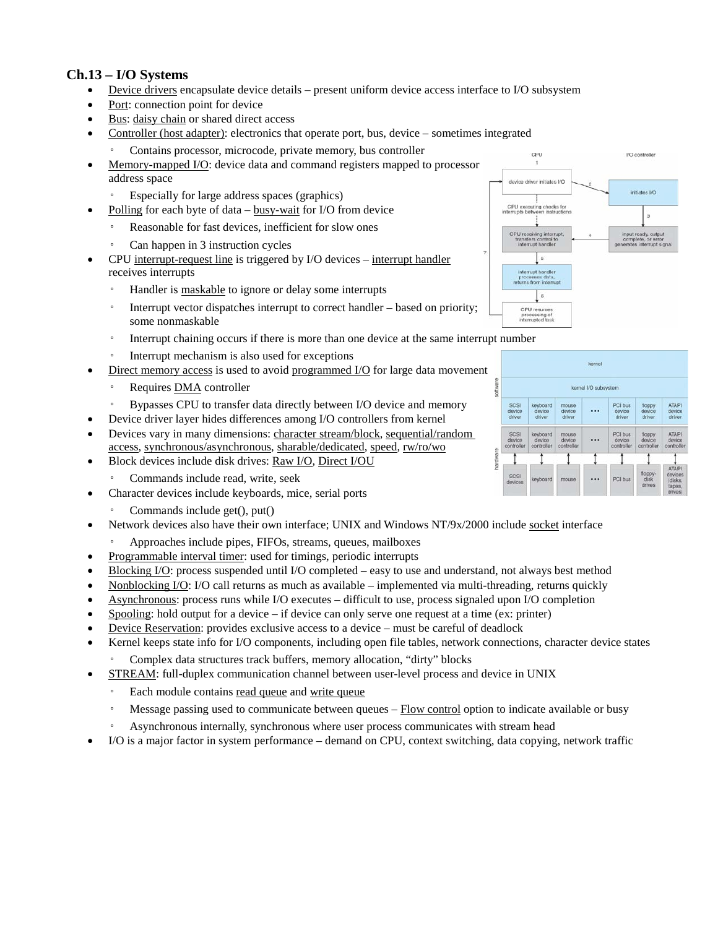#### **Ch.13 – I/O Systems**

- Device drivers encapsulate device details present uniform device access interface to I/O subsystem
- Port: connection point for device
- Bus: daisy chain or shared direct access
- Controller (host adapter): electronics that operate port, bus, device sometimes integrated
	- Contains processor, microcode, private memory, bus controller
- Memory-mapped I/O: device data and command registers mapped to processor address space
	- Especially for large address spaces (graphics)
	- Polling for each byte of data busy-wait for I/O from device
	- Reasonable for fast devices, inefficient for slow ones
		- Can happen in 3 instruction cycles
- CPU interrupt-request line is triggered by I/O devices interrupt handler receives interrupts
	- Handler is maskable to ignore or delay some interrupts
	- Interrupt vector dispatches interrupt to correct handler based on priority; some nonmaskable
	- Interrupt chaining occurs if there is more than one device at the same interrupt number
	- Interrupt mechanism is also used for exceptions
- Direct memory access is used to avoid programmed I/O for large data movement
	- Requires **DMA** controller
	- Bypasses CPU to transfer data directly between I/O device and memory
- Device driver layer hides differences among I/O controllers from kernel
- Devices vary in many dimensions: character stream/block, sequential/random access, synchronous/asynchronous, sharable/dedicated, speed, rw/ro/wo
- Block devices include disk drives: Raw I/O, Direct I/OU
	- Commands include read, write, seek
- Character devices include keyboards, mice, serial ports
	- Commands include get(), put()
- Network devices also have their own interface; UNIX and Windows NT/9x/2000 include socket interface
- Approaches include pipes, FIFOs, streams, queues, mailboxes
- Programmable interval timer: used for timings, periodic interrupts
- Blocking  $I/O$ : process suspended until I/O completed easy to use and understand, not always best method
- Nonblocking I/O: I/O call returns as much as available implemented via multi-threading, returns quickly
- Asynchronous: process runs while I/O executes difficult to use, process signaled upon I/O completion
- Spooling: hold output for a device if device can only serve one request at a time (ex: printer)
- Device Reservation: provides exclusive access to a device must be careful of deadlock
- Kernel keeps state info for I/O components, including open file tables, network connections, character device states ◦ Complex data structures track buffers, memory allocation, "dirty" blocks
	- STREAM: full-duplex communication channel between user-level process and device in UNIX
	- Each module contains read queue and write queue
	- Message passing used to communicate between queues Flow control option to indicate available or busy
	- Asynchronous internally, synchronous where user process communicates with stream head
- I/O is a major factor in system performance demand on CPU, context switching, data copying, network traffic



...

PCI but

I/O controller

initiates I/O

3

iut ready, outp<br>mplete, or err<br>ates interrupt

CPU

CPU exec

scs

CPU receiving international<br>transfers control to<br>interrupt handler

 $\kappa$ 

driver initiates I/O

ting checks for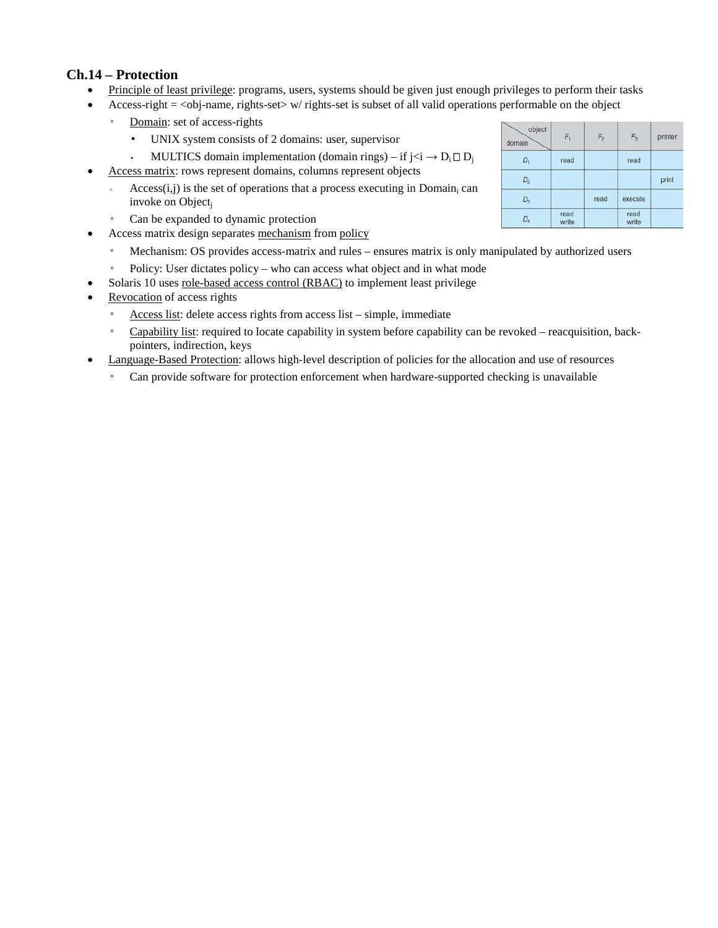### **Ch.14 – Protection**

- Principle of least privilege: programs, users, systems should be given just enough privileges to perform their tasks
- Access-right  $=$  <obj-name, rights-set w/ rights-set is subset of all valid operations performable on the object
	- Domain: set of access-rights
		- UNIX system consists of 2 domains: user, supervisor
		- MULTICS domain implementation (domain rings) if  $i < i \rightarrow D_i \square D_i$
- Access matrix: rows represent domains, columns represent objects
	- Access $(i, j)$  is the set of operations that a process executing in Domain<sub>i</sub> can invoke on Object<sub>i</sub>
	- Can be expanded to dynamic protection
- Access matrix design separates mechanism from policy
	- Mechanism: OS provides access-matrix and rules ensures matrix is only manipulated by authorized users
- Policy: User dictates policy who can access what object and in what mode
- Solaris 10 uses role-based access control (RBAC) to implement least privilege
- Revocation of access rights
	- Access list: delete access rights from access list simple, immediate
	- Capability list: required to locate capability in system before capability can be revoked reacquisition, backpointers, indirection, keys
- Language-Based Protection: allows high-level description of policies for the allocation and use of resources
	- Can provide software for protection enforcement when hardware-supported checking is unavailable

| object<br>domain | $F_{1}$       | F <sub>2</sub> | $F_3$         | printer |
|------------------|---------------|----------------|---------------|---------|
| $D_1$            | read          |                | read          |         |
| $D_{2}$          |               |                |               | print   |
| $D_3$            |               | read           | execute       |         |
| $D_4$            | read<br>write |                | read<br>write |         |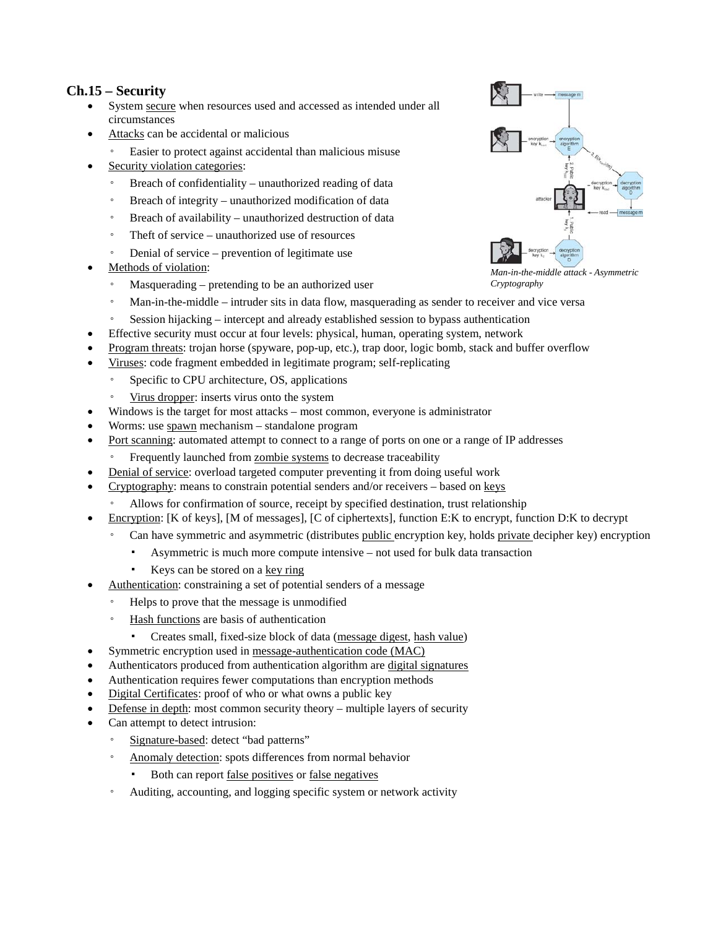## **Ch.15 – Security**

- System secure when resources used and accessed as intended under all circumstances
- Attacks can be accidental or malicious
	- Easier to protect against accidental than malicious misuse
- Security violation categories:
	- Breach of confidentiality unauthorized reading of data
	- Breach of integrity unauthorized modification of data
	- Breach of availability unauthorized destruction of data
	- Theft of service unauthorized use of resources
	- Denial of service prevention of legitimate use
- Methods of violation:
	- Masquerading pretending to be an authorized user
	- Man-in-the-middle intruder sits in data flow, masquerading as sender to receiver and vice versa
	- Session hijacking intercept and already established session to bypass authentication
- Effective security must occur at four levels: physical, human, operating system, network
- Program threats: trojan horse (spyware, pop-up, etc.), trap door, logic bomb, stack and buffer overflow
- Viruses: code fragment embedded in legitimate program; self-replicating
	- Specific to CPU architecture, OS, applications
	- Virus dropper: inserts virus onto the system
- Windows is the target for most attacks most common, everyone is administrator
- Worms: use spawn mechanism standalone program
- Port scanning: automated attempt to connect to a range of ports on one or a range of IP addresses
	- Frequently launched from zombie systems to decrease traceability
- Denial of service: overload targeted computer preventing it from doing useful work
- Cryptography: means to constrain potential senders and/or receivers based on keys
	- Allows for confirmation of source, receipt by specified destination, trust relationship
- Encryption: [K of keys], [M of messages], [C of ciphertexts], function E:K to encrypt, function D:K to decrypt
	- Can have symmetric and asymmetric (distributes public encryption key, holds private decipher key) encryption
		- Asymmetric is much more compute intensive not used for bulk data transaction
		- Keys can be stored on a key ring
- Authentication: constraining a set of potential senders of a message
	- Helps to prove that the message is unmodified
	- Hash functions are basis of authentication
	- Creates small, fixed-size block of data (message digest, hash value)
- Symmetric encryption used in message-authentication code (MAC)
- Authenticators produced from authentication algorithm are digital signatures
- Authentication requires fewer computations than encryption methods
- Digital Certificates: proof of who or what owns a public key
- Defense in depth: most common security theory multiple layers of security
- Can attempt to detect intrusion:
	- Signature-based: detect "bad patterns"
	- Anomaly detection: spots differences from normal behavior
		- Both can report false positives or false negatives
	- Auditing, accounting, and logging specific system or network activity



*Man-in-the-middle attack - Asymmetric Cryptography*